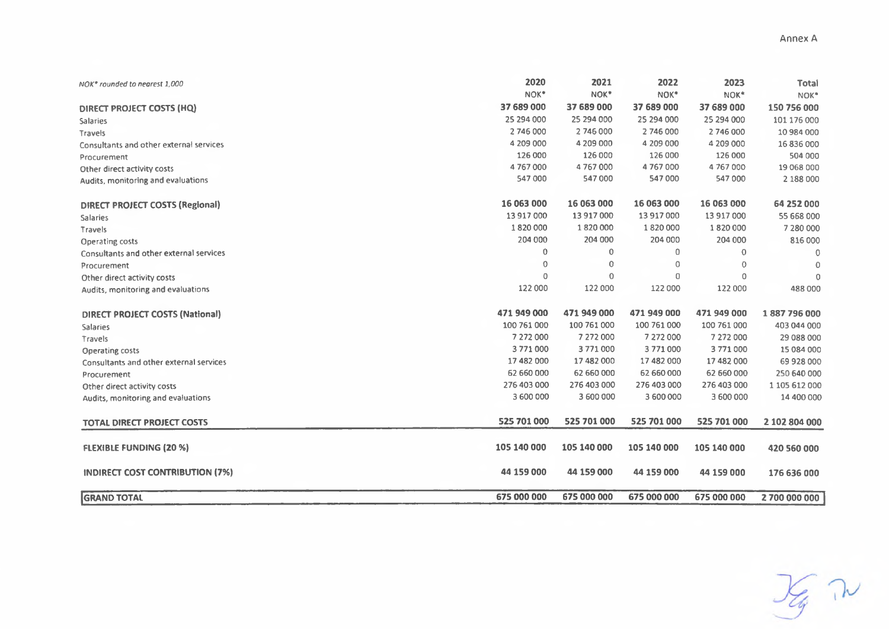| NOK <sup>®</sup> rounded to nearest 1,000 | 2020               | 2021                  | 2022                     | 2023                   | <b>Total</b>        |
|-------------------------------------------|--------------------|-----------------------|--------------------------|------------------------|---------------------|
|                                           | NOK*<br>37 689 000 | NOK*                  | NOK*                     | NOK*                   | NOK*                |
| DIRECT PROJECT COSTS (HQ)                 | 25 294 000         | 37 689 000            | 37 689 000<br>25 294 000 | 37 689 000             | 150 756 000         |
| <b>Salaries</b>                           | 2746000            | 25 294 000<br>2746000 | 2 746 000                | 25 294 000             | 101 176 000         |
| Travels                                   | 4 209 000          | 4 209 000             | 4 209 000                | 2 746 000<br>4 209 000 | 10 984 000          |
| Consultants and other external services   | 126 000            | 126 000               | 126 000                  | 126 000                | 16836000<br>504 000 |
| Procurement                               | 4767000            | 4767000               | 4767000                  | 4 767 000              | 19 068 000          |
| Other direct activity costs               | 547 000            | 547 000               | 547000                   | 547 000                | 2 188 000           |
| Audits, monitoring and evaluations        |                    |                       |                          |                        |                     |
| <b>DIRECT PROJECT COSTS (Regional)</b>    | 16 063 000         | 16 063 000            | 16 063 000               | 16 063 000             | 64 252 000          |
| <b>Salaries</b>                           | 13 917 000         | 13 917 000            | 13 917 000               | 13 917 000             | 55 668 000          |
| Travels                                   | 1820000            | 1820000               | 1820000                  | 1820000                | 7 280 000           |
| Operating costs                           | 204 000            | 204 000               | 204 000                  | 204 000                | 816 000             |
| Consultants and other external services   | 0                  | $\circ$               | 0                        | $\Omega$               | 0                   |
| Procurement                               | 0                  | 0                     | 0                        | $\mathbf 0$            | $\circ$             |
| Other direct activity costs               | $\Omega$           | 0                     | $\overline{0}$           | 0                      | $\circ$             |
| Audits, monitoring and evaluations        | 122 000            | 122 000               | 122 000                  | 122 000                | 488 000             |
| <b>DIRECT PROJECT COSTS (National)</b>    | 471 949 000        | 471 949 000           | 471 949 000              | 471 949 000            | 1887796000          |
| <b>Salaries</b>                           | 100 761 000        | 100 761 000           | 100 761 000              | 100 761 000            | 403 044 000         |
| Travels                                   | 7 272 000          | 7 272 000             | 7 272 000                | 7 272 000              | 29 088 000          |
| Operating costs                           | 3771000            | 3771000               | 3771000                  | 3771000                | 15 084 000          |
| Consultants and other external services   | 17 482 000         | 17 482 000            | 17 482 000               | 17 482 000             | 69 928 000          |
| Procurement                               | 62 660 000         | 62 660 000            | 62 660 000               | 62 660 000             | 250 640 000         |
| Other direct activity costs               | 276 403 000        | 276 403 000           | 276 403 000              | 276 403 000            | 1 105 612 000       |
| Audits, monitoring and evaluations        | 3 600 000          | 3 600 000             | 3 600 000                | 3 600 000              | 14 400 000          |
| <b>TOTAL DIRECT PROJECT COSTS</b>         | 525 701 000        | 525 701 000           | 525 701 000              | 525 701 000            | 2 102 804 000       |
| <b>FLEXIBLE FUNDING (20 %)</b>            | 105 140 000        | 105 140 000           | 105 140 000              | 105 140 000            | 420 560 000         |
| INDIRECT COST CONTRIBUTION (7%)           | 44 159 000         | 44 159 000            | 44 159 000               | 44 159 000             | 176 636 000         |
| <b>GRAND TOTAL</b>                        | 675 000 000        | 675 000 000           | 675 000 000              | 675 000 000            | 2 700 000 000       |

 $\frac{1}{\sqrt{2}}$